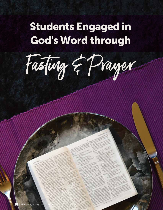## Students Engaged in God's Word through